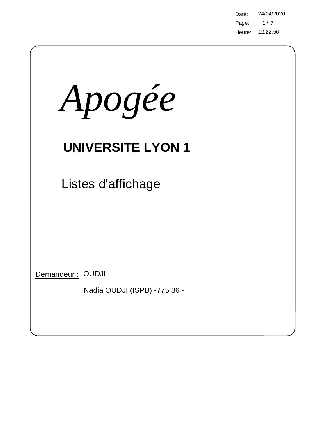Page: Heure: 12:22:56 Date: 24/04/2020  $1/7$ 

| Apogée                                           |
|--------------------------------------------------|
| <b>UNIVERSITE LYON 1</b>                         |
| Listes d'affichage                               |
| Demandeur: OUDJI<br>Nadia OUDJI (ISPB) -775 36 - |

 $\bigg)$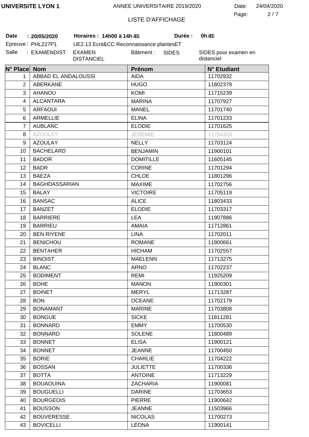2 7 Page: Date: 24/04/2020

## LISTE D'AFFICHAGE

Bâtiment :

**:** Epreuve: PHL227P1

Salle : EXAMENDIST EXAMEN

UE2.13 Ecrit&CC Reconnaissance plantesET **Date 20/05/2020 Horaires : 14h00 à 14h30 Durée : 0h30**

DISTANCIEL

**Durée:** 

SIDES

| N° Place Nom   |                      | Prénom           | N° Etudiant |
|----------------|----------------------|------------------|-------------|
| 1              | ABBAD EL ANDALOUSSI  | <b>AIDA</b>      | 11702932    |
| $\overline{2}$ | <b>ABERKANE</b>      | <b>HUGO</b>      | 11802379    |
| 3              | <b>AHANOU</b>        | KOMI             | 11715239    |
| 4              | <b>ALCANTARA</b>     | <b>MARINA</b>    | 11707927    |
| 5              | <b>ARFAOUI</b>       | MANEL            | 11701740    |
| 6              | <b>ARMELLIE</b>      | <b>ELINA</b>     | 11701233    |
| $\overline{7}$ | <b>AUBLANC</b>       | <b>ELODIE</b>    | 11701625    |
| 8              | <b>AZOULAY</b>       | <b>JEREMIE</b>   | 11704324    |
| 9              | <b>AZOULAY</b>       | <b>NELLY</b>     | 11703124    |
| 10             | <b>BACHELARD</b>     | <b>BENJAMIN</b>  | 11900101    |
| 11             | <b>BADOR</b>         | <b>DOMITILLE</b> | 11605145    |
| 12             | <b>BADR</b>          | <b>CORINE</b>    | 11701294    |
| 13             | <b>BAEZA</b>         | <b>CHLOE</b>     | 11801296    |
| 14             | <b>BAGHDASSARIAN</b> | <b>MAXIME</b>    | 11702756    |
| 15             | <b>BALAY</b>         | <b>VICTOIRE</b>  | 11705119    |
| 16             | <b>BANSAC</b>        | <b>ALICE</b>     | 11803433    |
| 17             | <b>BANZET</b>        | <b>ELODIE</b>    | 11703317    |
| 18             | <b>BARRIERE</b>      | <b>LEA</b>       | 11907886    |
| 19             | <b>BARRIEU</b>       | <b>AMAIA</b>     | 11712861    |
| 20             | <b>BEN RIYENE</b>    | <b>LINA</b>      | 11702011    |
| 21             | <b>BENICHOU</b>      | <b>ROMANE</b>    | 11900661    |
| 22             | <b>BENTAHER</b>      | <b>HICHAM</b>    | 11702557    |
| 23             | <b>BINOIST</b>       | <b>MAELENN</b>   | 11713275    |
| 24             | <b>BLANC</b>         | ARNO             | 11702237    |
| 25             | <b>BODIMENT</b>      | <b>REMI</b>      | 11925209    |
| 26             | <b>BOHE</b>          | <b>MANON</b>     | 11900301    |
| 27             | <b>BOINET</b>        | <b>MERYL</b>     | 11713287    |
| 28             | <b>BON</b>           | <b>OCEANE</b>    | 11702179    |
| 29             | <b>BONAMANT</b>      | <b>MARINE</b>    | 11703808    |
| 30             | <b>BONGUE</b>        | <b>SICKE</b>     | 11811281    |
| 31             | <b>BONNARD</b>       | <b>EMMY</b>      | 11700530    |
| 32             | <b>BONNARD</b>       | <b>SOLENE</b>    | 11800489    |
| 33             | <b>BONNET</b>        | <b>ELISA</b>     | 11900121    |
| 34             | <b>BONNET</b>        | <b>JEANNE</b>    | 11700450    |
| 35             | <b>BORIE</b>         | <b>CHARLIE</b>   | 11704222    |
| 36             | <b>BOSSAN</b>        | <b>JULIETTE</b>  | 11700336    |
| 37             | <b>BOTTA</b>         | <b>ANTOINE</b>   | 11713229    |
| 38             | <b>BOUAOUINA</b>     | <b>ZACHARIA</b>  | 11900081    |
| 39             | <b>BOUGUELLI</b>     | <b>DARINE</b>    | 11703653    |
| 40             | <b>BOURGEOIS</b>     | <b>PIERRE</b>    | 11900642    |
| 41             | <b>BOUSSON</b>       | <b>JEANNE</b>    | 11503966    |
| 42             | <b>BOUVERESSE</b>    | <b>NICOLAS</b>   | 11700273    |
| 43             | <b>BOVICELLI</b>     | LÉONA            | 11900141    |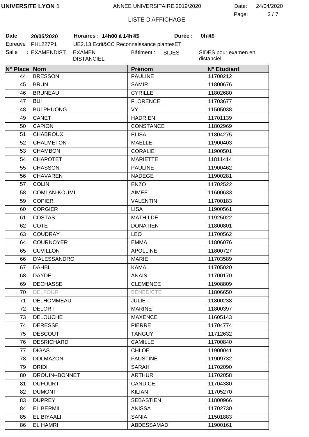3 7 Page: Date: 24/04/2020

# LISTE D'AFFICHAGE

**Durée:** 

**Date 20/05/2020 Horaires : 14h00 à 14h30 Durée : 0h30**

| Date    | 20/05/2020      |
|---------|-----------------|
| Epreuve | <b>PHL227P1</b> |
| Salle   | : EXAMENDIST    |

UE2.13 Ecrit&CC Reconnaissance plantesET T EXAMEN DISTANCIEL Bâtiment : SIDES

| N° Place Nom |                     | Prénom           | N° Etudiant |
|--------------|---------------------|------------------|-------------|
| 44           | <b>BRESSON</b>      | <b>PAULINE</b>   | 11700212    |
| 45           | <b>BRUN</b>         | <b>SAMIR</b>     | 11800676    |
| 46           | <b>BRUNEAU</b>      | <b>CYRILLE</b>   | 11802680    |
| 47           | <b>BUI</b>          | <b>FLORENCE</b>  | 11703677    |
| 48           | <b>BUI PHUONG</b>   | <b>VY</b>        | 11505038    |
| 49           | <b>CANET</b>        | <b>HADRIEN</b>   | 11701139    |
| 50           | <b>CAPION</b>       | <b>CONSTANCE</b> | 11802969    |
| 51           | <b>CHABROUX</b>     | <b>ELISA</b>     | 11804275    |
| 52           | <b>CHALMETON</b>    | <b>MAELLE</b>    | 11900403    |
| 53           | <b>CHAMBON</b>      | <b>CORALIE</b>   | 11900501    |
| 54           | <b>CHAPOTET</b>     | <b>MARIETTE</b>  | 11811414    |
| 55           | <b>CHASSON</b>      | <b>PAULINE</b>   | 11900462    |
| 56           | <b>CHAVAREN</b>     | <b>NADEGE</b>    | 11900281    |
| 57           | <b>COLIN</b>        | <b>ENZO</b>      | 11702522    |
| 58           | <b>COMLAN-KOUMI</b> | AIMÉE            | 11600633    |
| 59           | <b>COPIER</b>       | <b>VALENTIN</b>  | 11700183    |
| 60           | <b>CORGIER</b>      | <b>LISA</b>      | 11900561    |
| 61           | COSTAS              | <b>MATHILDE</b>  | 11925022    |
| 62           | <b>COTE</b>         | <b>DONATIEN</b>  | 11800801    |
| 63           | <b>COUDRAY</b>      | <b>LEO</b>       | 11700562    |
| 64           | <b>COURNOYER</b>    | <b>EMMA</b>      | 11806076    |
| 65           | <b>CUVILLON</b>     | <b>APOLLINE</b>  | 11800727    |
| 66           | <b>D'ALESSANDRO</b> | <b>MARIE</b>     | 11703589    |
| 67           | <b>DAHBI</b>        | <b>KAMAL</b>     | 11705020    |
| 68           | <b>DAYDE</b>        | <b>ANAIS</b>     | 11700170    |
| 69           | <b>DECHASSE</b>     | <b>CLEMENCE</b>  | 11908809    |
| 70           | <b>DELFOUR</b>      | <b>BENEDICTE</b> | 11806650    |
| 71           | DELHOMMEAU          | <b>JULIE</b>     | 11800238    |
| 72           | <b>DELORT</b>       | <b>MARINE</b>    | 11800397    |
| 73           | <b>DELOUCHE</b>     | <b>MAXENCE</b>   | 11605143    |
| 74           | <b>DERESSE</b>      | <b>PIERRE</b>    | 11704774    |
| 75           | <b>DESCOUT</b>      | <b>TANGUY</b>    | 11712632    |
| 76           | <b>DESRICHARD</b>   | <b>CAMILLE</b>   | 11700840    |
| 77           | <b>DIGAS</b>        | <b>CHLOÉ</b>     | 11900041    |
| 78           | <b>DOLMAZON</b>     | <b>FAUSTINE</b>  | 11909732    |
| 79           | <b>DRIDI</b>        | <b>SARAH</b>     | 11702090    |
| 80           | DROUIN--BONNET      | <b>ARTHUR</b>    | 11702058    |
| 81           | <b>DUFOURT</b>      | <b>CANDICE</b>   | 11704380    |
| 82           | <b>DUMONT</b>       | <b>KILIAN</b>    | 11705270    |
| 83           | <b>DUPREY</b>       | <b>SEBASTIEN</b> | 11800966    |
| 84           | <b>EL BERMIL</b>    | <b>ANISSA</b>    | 11702730    |
| 85           | EL BIYAALI          | <b>SANIA</b>     | 11501883    |
| 86           | <b>EL HAMRI</b>     | ABDESSAMAD       | 11900161    |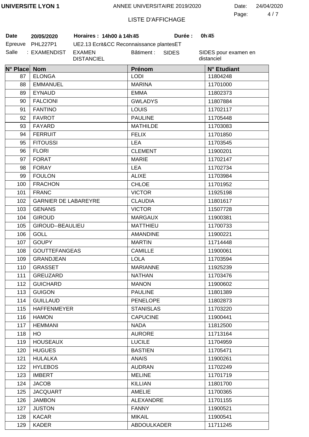4 7 Page: Date: 24/04/2020

# LISTE D'AFFICHAGE

**Durée:** 

**Date 20/05/2020 Horaires : 14h00 à 14h30 Durée : 0h30**

| Date    | 20/05/2020   |
|---------|--------------|
| Epreuve | PHL227P1     |
| Salle   | : EXAMENDIST |

UE2.13 Ecrit&CC Reconnaissance plantesET **EXAMEN** DISTANCIEL Bâtiment : SIDES

| N° Place Nom |                             | Prénom           | N° Etudiant |
|--------------|-----------------------------|------------------|-------------|
| 87           | <b>ELONGA</b>               | <b>LODI</b>      | 11804248    |
| 88           | <b>EMMANUEL</b>             | <b>MARINA</b>    | 11701000    |
| 89           | <b>EYNAUD</b>               | <b>EMMA</b>      | 11802373    |
| 90           | <b>FALCIONI</b>             | <b>GWLADYS</b>   | 11807884    |
| 91           | <b>FANTINO</b>              | <b>LOUIS</b>     | 11702117    |
| 92           | <b>FAVROT</b>               | <b>PAULINE</b>   | 11705448    |
| 93           | <b>FAYARD</b>               | <b>MATHILDE</b>  | 11703083    |
| 94           | <b>FERRUIT</b>              | <b>FELIX</b>     | 11701850    |
| 95           | <b>FITOUSSI</b>             | <b>LEA</b>       | 11703545    |
| 96           | <b>FLORI</b>                | <b>CLEMENT</b>   | 11900201    |
| 97           | <b>FORAT</b>                | <b>MARIE</b>     | 11702147    |
| 98           | <b>FORAY</b>                | <b>LEA</b>       | 11702734    |
| 99           | <b>FOULON</b>               | <b>ALIXE</b>     | 11703984    |
| 100          | <b>FRACHON</b>              | <b>CHLOE</b>     | 11701952    |
| 101          | <b>FRANC</b>                | <b>VICTOR</b>    | 11925198    |
| 102          | <b>GARNIER DE LABAREYRE</b> | <b>CLAUDIA</b>   | 11801617    |
| 103          | <b>GENANS</b>               | <b>VICTOR</b>    | 11507728    |
| 104          | <b>GIROUD</b>               | <b>MARGAUX</b>   | 11900381    |
| 105          | GIROUD--BEAULIEU            | <b>MATTHIEU</b>  | 11700733    |
| 106          | <b>GOLL</b>                 | <b>AMANDINE</b>  | 11900221    |
| 107          | <b>GOUPY</b>                | <b>MARTIN</b>    | 11714448    |
| 108          | <b>GOUTTEFANGEAS</b>        | <b>CAMILLE</b>   | 11900061    |
| 109          | <b>GRANDJEAN</b>            | <b>LOLA</b>      | 11703594    |
| 110          | <b>GRASSET</b>              | <b>MARIANNE</b>  | 11925239    |
| 111          | <b>GREUZARD</b>             | <b>NATHAN</b>    | 11703476    |
| 112          | <b>GUICHARD</b>             | <b>MANON</b>     | 11900602    |
| 113          | <b>GUIGON</b>               | <b>PAULINE</b>   | 11801389    |
| 114          | <b>GUILLAUD</b>             | <b>PENELOPE</b>  | 11802873    |
| 115          | <b>HAFFENMEYER</b>          | <b>STANISLAS</b> | 11703220    |
| 116          | <b>HAMON</b>                | <b>CAPUCINE</b>  | 11900441    |
| 117          | <b>HEMMANI</b>              | <b>NADA</b>      | 11812500    |
| 118          | H <sub>O</sub>              | <b>AURORE</b>    | 11713164    |
| 119          | <b>HOUSEAUX</b>             | <b>LUCILE</b>    | 11704959    |
| 120          | <b>HUGUES</b>               | <b>BASTIEN</b>   | 11705471    |
| 121          | <b>HULALKA</b>              | <b>ANAIS</b>     | 11900261    |
| 122          | <b>HYLEBOS</b>              | <b>AUDRAN</b>    | 11702249    |
| 123          | <b>IMBERT</b>               | <b>MELINE</b>    | 11701719    |
| 124          | <b>JACOB</b>                | <b>KILLIAN</b>   | 11801700    |
| 125          | <b>JACQUART</b>             | <b>AMELIE</b>    | 11700365    |
| 126          | <b>JAMBON</b>               | <b>ALEXANDRE</b> | 11701155    |
| 127          | <b>JUSTON</b>               | <b>FANNY</b>     | 11900521    |
| 128          | <b>KACAR</b>                | <b>MIKAIL</b>    | 11900541    |
| 129          | <b>KADER</b>                | ABDOULKADER      | 11711245    |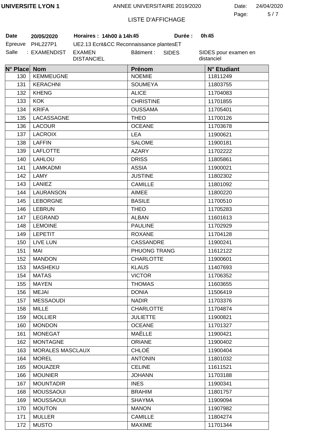5 7 Page: Date: 24/04/2020

### LISTE D'AFFICHAGE

**Durée:** 

**Date 20/05/2020 Horaires : 14h00 à 14h30 Durée : 0h30**

| <b>Date</b> | 20/05/2020       | <b>Horaires</b> |
|-------------|------------------|-----------------|
|             | Epreuve PHL227P1 | UE2.13 E        |
| Salle       | : EXAMENDIST     | EXAMEN          |

UE2.13 Ecrit&CC Reconnaissance plantesET DISTANCIEL Bâtiment : SIDES

| N° Place Nom |                         | Prénom           | N° Etudiant |
|--------------|-------------------------|------------------|-------------|
| 130          | <b>KEMMEUGNE</b>        | <b>NOEMIE</b>    | 11811249    |
| 131          | <b>KERACHNI</b>         | <b>SOUMEYA</b>   | 11803755    |
| 132          | <b>KHENG</b>            | <b>ALICE</b>     | 11704083    |
| 133          | <b>KOK</b>              | <b>CHRISTINE</b> | 11701855    |
| 134          | <b>KRIFA</b>            | <b>OUSSAMA</b>   | 11705401    |
| 135          | LACASSAGNE              | <b>THEO</b>      | 11700126    |
| 136          | <b>LACOUR</b>           | <b>OCEANE</b>    | 11703678    |
| 137          | <b>LACROIX</b>          | <b>LEA</b>       | 11900621    |
| 138          | <b>LAFFIN</b>           | <b>SALOME</b>    | 11900181    |
| 139          | <b>LAFLOTTE</b>         | <b>AZARY</b>     | 11702222    |
| 140          | LAHLOU                  | <b>DRISS</b>     | 11805861    |
| 141          | LAMKADMI                | <b>ASSIA</b>     | 11900021    |
| 142          | LAMY                    | <b>JUSTINE</b>   | 11802302    |
| 143          | LANIEZ                  | <b>CAMILLE</b>   | 11801092    |
| 144          | <b>LAURANSON</b>        | <b>AIMEE</b>     | 11800220    |
| 145          | <b>LEBORGNE</b>         | <b>BASILE</b>    | 11700510    |
| 146          | <b>LEBRUN</b>           | <b>THEO</b>      | 11705283    |
| 147          | LEGRAND                 | <b>ALBAN</b>     | 11601613    |
| 148          | <b>LEMOINE</b>          | <b>PAULINE</b>   | 11702929    |
| 149          | <b>LEPETIT</b>          | <b>ROXANE</b>    | 11704128    |
| 150          | LIVE LUN                | <b>CASSANDRE</b> | 11900241    |
| 151          | MAI                     | PHUONG TRANG     | 11612122    |
| 152          | <b>MANDON</b>           | <b>CHARLOTTE</b> | 11900601    |
| 153          | <b>MASHEKU</b>          | <b>KLAUS</b>     | 11407693    |
| 154          | <b>MATAS</b>            | <b>VICTOR</b>    | 11706352    |
| 155          | <b>MAYEN</b>            | <b>THOMAS</b>    | 11603655    |
| 156          | <b>MEJAI</b>            | <b>DONIA</b>     | 11506419    |
| 157          | <b>MESSAOUDI</b>        | <b>NADIR</b>     | 11703376    |
| 158          | <b>MILLE</b>            | <b>CHARLOTTE</b> | 11704874    |
| 159          | <b>MOLLIER</b>          | <b>JULIETTE</b>  | 11900821    |
| 160          | <b>MONDON</b>           | <b>OCEANE</b>    | 11701327    |
| 161          | <b>MONEGAT</b>          | MAËLLE           | 11900421    |
| 162          | <b>MONTAGNE</b>         | <b>ORIANE</b>    | 11900402    |
| 163          | <b>MORALES MASCLAUX</b> | <b>CHLOÉ</b>     | 11900404    |
| 164          | <b>MOREL</b>            | <b>ANTONIN</b>   | 11801032    |
| 165          | <b>MOUAZER</b>          | <b>CELINE</b>    | 11611521    |
| 166          | <b>MOUNIER</b>          | <b>JOHANN</b>    | 11703188    |
| 167          | <b>MOUNTADIR</b>        | <b>INES</b>      | 11900341    |
| 168          | <b>MOUSSAOUI</b>        | <b>BRAHIM</b>    | 11801757    |
| 169          | <b>MOUSSAOUI</b>        | <b>SHAYMA</b>    | 11909094    |
| 170          | <b>MOUTON</b>           | <b>MANON</b>     | 11907982    |
| 171          | <b>MULLER</b>           | <b>CAMILLE</b>   | 11804274    |
| 172          | <b>MUSTO</b>            | <b>MAXIME</b>    | 11701344    |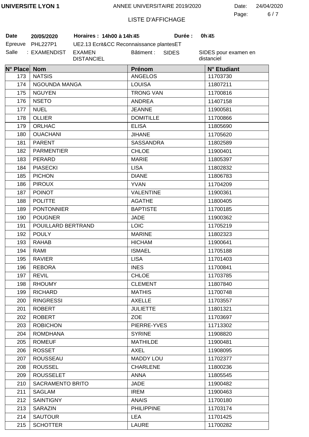6 7 Page: Date: 24/04/2020

### LISTE D'AFFICHAGE

**Durée:** 

| Date  | 20/05/2020       | <b>Horaires</b> |
|-------|------------------|-----------------|
|       | Epreuve PHL227P1 | UE2.13 E        |
| Salle | : EXAMENDIST     | EXAMEN          |

UE2.13 Ecrit&CC Reconnaissance plantesET DISTANCIEL Bâtiment : **Date 20/05/2020 Horaires : 14h00 à 14h30 Durée : 0h30** SIDES

| N° Place Nom |                         | <b>Prénom</b>     | N° Etudiant |
|--------------|-------------------------|-------------------|-------------|
| 173          | <b>NATSIS</b>           | <b>ANGELOS</b>    | 11703730    |
| 174          | NGOUNDA MANGA           | <b>LOUISA</b>     | 11807211    |
| 175          | <b>NGUYEN</b>           | <b>TRONG VAN</b>  | 11700816    |
| 176          | <b>NSETO</b>            | <b>ANDREA</b>     | 11407158    |
| 177          | <b>NUEL</b>             | <b>JEANNE</b>     | 11900581    |
| 178          | <b>OLLIER</b>           | <b>DOMITILLE</b>  | 11700866    |
| 179          | <b>ORLHAC</b>           | <b>ELISA</b>      | 11805690    |
| 180          | <b>OUACHANI</b>         | <b>JIHANE</b>     | 11705620    |
| 181          | <b>PARENT</b>           | <b>SASSANDRA</b>  | 11802589    |
| 182          | <b>PARMENTIER</b>       | <b>CHLOE</b>      | 11900401    |
| 183          | PERARD                  | <b>MARIE</b>      | 11805397    |
| 184          | <b>PIASECKI</b>         | <b>LISA</b>       | 11802832    |
| 185          | <b>PICHON</b>           | <b>DIANE</b>      | 11806783    |
| 186          | <b>PIROUX</b>           | <b>YVAN</b>       | 11704209    |
| 187          | <b>POINOT</b>           | <b>VALENTINE</b>  | 11900361    |
| 188          | <b>POLITTE</b>          | <b>AGATHE</b>     | 11800405    |
| 189          | <b>PONTONNIER</b>       | <b>BAPTISTE</b>   | 11700185    |
| 190          | <b>POUGNER</b>          | <b>JADE</b>       | 11900362    |
| 191          | POUILLARD BERTRAND      | <b>LOIC</b>       | 11705219    |
| 192          | <b>POULY</b>            | <b>MARINE</b>     | 11802323    |
| 193          | <b>RAHAB</b>            | <b>HICHAM</b>     | 11900641    |
| 194          | RAMI                    | <b>ISMAEL</b>     | 11705188    |
| 195          | <b>RAVIER</b>           | <b>LISA</b>       | 11701403    |
| 196          | <b>REBORA</b>           | <b>INES</b>       | 11700841    |
| 197          | <b>REVIL</b>            | <b>CHLOE</b>      | 11703785    |
| 198          | <b>RHOUMY</b>           | <b>CLEMENT</b>    | 11807840    |
| 199          | <b>RICHARD</b>          | <b>MATHIS</b>     | 11700748    |
| 200          | <b>RINGRESSI</b>        | <b>AXELLE</b>     | 11703557    |
| 201          | <b>ROBERT</b>           | <b>JULIETTE</b>   | 11801321    |
| 202          | <b>ROBERT</b>           | <b>ZOE</b>        | 11703697    |
| 203          | <b>ROBICHON</b>         | PIERRE-YVES       | 11713302    |
| 204          | <b>ROMDHANA</b>         | <b>SYRINE</b>     | 11908820    |
| 205          | <b>ROMEUF</b>           | <b>MATHILDE</b>   | 11900481    |
| 206          | <b>ROSSET</b>           | <b>AXEL</b>       | 11908095    |
| 207          | ROUSSEAU                | <b>MADDY LOU</b>  | 11702377    |
| 208          | <b>ROUSSEL</b>          | <b>CHARLENE</b>   | 11800236    |
| 209          | <b>ROUSSELET</b>        | <b>ANNA</b>       | 11805545    |
| 210          | <b>SACRAMENTO BRITO</b> | <b>JADE</b>       | 11900482    |
| 211          | <b>SAGLAM</b>           | <b>IREM</b>       | 11900463    |
| 212          | <b>SAINTIGNY</b>        | <b>ANAIS</b>      | 11700180    |
| 213          | SARAZIN                 | <b>PHILIPPINE</b> | 11703174    |
| 214          | <b>SAUTOUR</b>          | <b>LEA</b>        | 11701425    |
| 215          | <b>SCHOTTER</b>         | LAURE             | 11700282    |